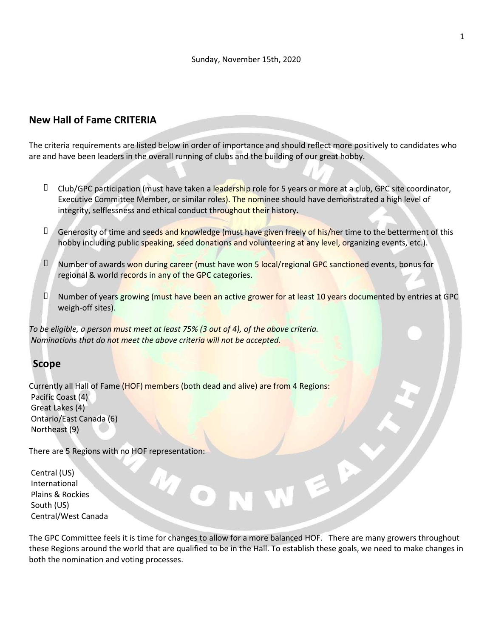## New Hall of Fame CRITERIA

The criteria requirements are listed below in order of importance and should reflect more positively to candidates who are and have been leaders in the overall running of clubs and the building of our great hobby.

- D Club/GPC participation (must have taken a leadership role for 5 years or more at a club, GPC site coordinator, Executive Committee Member, or similar roles). The nominee should have demonstrated a high level of integrity, selflessness and ethical conduct throughout their history.
- **D** Generosity of time and seeds and knowledge (must have given freely of his/her time to the betterment of this hobby including public speaking, seed donations and volunteering at any level, organizing events, etc.).
- D Number of awards won during career (must have won 5 local/regional GPC sanctioned events, bonus for regional & world records in any of the GPC categories.
- D Number of years growing (must have been an active grower for at least 10 years documented by entries at GPC weigh-off sites).

To be eligible, a person must meet at least 75% (3 out of 4), of the above criteria. Nominations that do not meet the above criteria will not be accepted.

## Scope

Currently all Hall of Fame (HOF) members (both dead and alive) are from 4 Regions: Pacific Coast (4) Great Lakes (4) Ontario/East Canada (6) Northeast (9)

There are 5 Regions with no HOF representation:

Central (US) International Plains & Rockies South (US) Central/West Canada

The GPC Committee feels it is time for changes to allow for a more balanced HOF. There are many growers throughout these Regions around the world that are qualified to be in the Hall. To establish these goals, we need to make changes in both the nomination and voting processes.